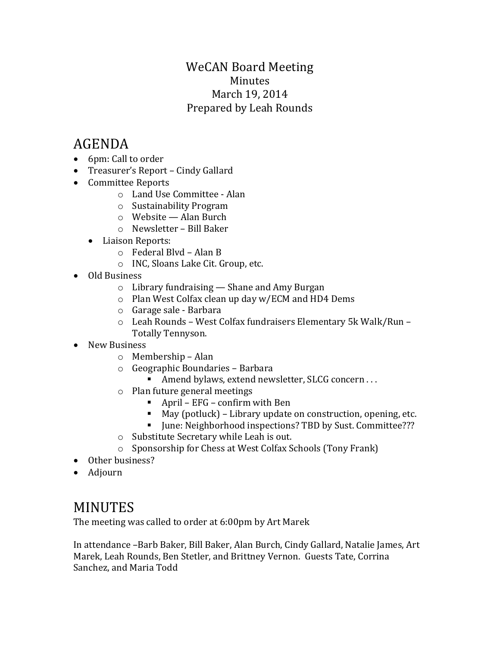### WeCAN Board Meeting Minutes March 19, 2014 Prepared by Leah Rounds

# AGENDA

- 6pm: Call to order
- Treasurer's Report Cindy Gallard
- Committee Reports
	- o Land Use Committee Alan
	- o Sustainability Program
	- o Website Alan Burch
	- o Newsletter Bill Baker
	- Liaison Reports:
		- o Federal Blvd Alan B
		- o INC, Sloans Lake Cit. Group, etc.
- Old Business
	- o Library fundraising Shane and Amy Burgan
	- o Plan West Colfax clean up day w/ECM and HD4 Dems
	- o Garage sale Barbara
	- o Leah Rounds West Colfax fundraisers Elementary 5k Walk/Run Totally Tennyson.
- New Business
	- o Membership Alan
	- o Geographic Boundaries Barbara
		- Amend bylaws, extend newsletter, SLCG concern . . .
	- o Plan future general meetings
		- April  $EFG$  confirm with Ben
		- May (potluck) Library update on construction, opening, etc.
		- June: Neighborhood inspections? TBD by Sust. Committee???
	- o Substitute Secretary while Leah is out.
	- o Sponsorship for Chess at West Colfax Schools (Tony Frank)
- Other business?
- Adjourn

## MINUTES

The meeting was called to order at 6:00pm by Art Marek

In attendance –Barb Baker, Bill Baker, Alan Burch, Cindy Gallard, Natalie James, Art Marek, Leah Rounds, Ben Stetler, and Brittney Vernon. Guests Tate, Corrina Sanchez, and Maria Todd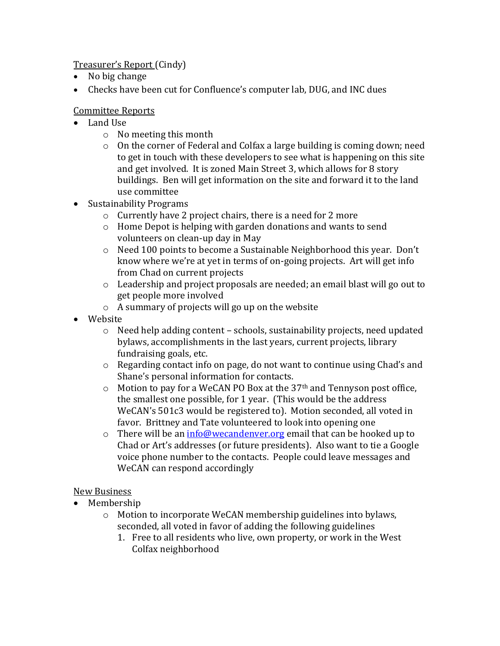Treasurer's Report (Cindy)

- No big change
- Checks have been cut for Confluence's computer lab, DUG, and INC dues

#### Committee Reports

- Land Use
	- o No meeting this month
	- $\circ$  On the corner of Federal and Colfax a large building is coming down; need to get in touch with these developers to see what is happening on this site and get involved. It is zoned Main Street 3, which allows for 8 story buildings. Ben will get information on the site and forward it to the land use committee
- Sustainability Programs
	- o Currently have 2 project chairs, there is a need for 2 more
	- o Home Depot is helping with garden donations and wants to send volunteers on clean-up day in May
	- o Need 100 points to become a Sustainable Neighborhood this year. Don't know where we're at yet in terms of on-going projects. Art will get info from Chad on current projects
	- o Leadership and project proposals are needed; an email blast will go out to get people more involved
	- o A summary of projects will go up on the website
- Website
	- o Need help adding content schools, sustainability projects, need updated bylaws, accomplishments in the last years, current projects, library fundraising goals, etc.
	- o Regarding contact info on page, do not want to continue using Chad's and Shane's personal information for contacts.
	- $\circ$  Motion to pay for a WeCAN PO Box at the 37<sup>th</sup> and Tennyson post office, the smallest one possible, for 1 year. (This would be the address WeCAN's 501c3 would be registered to). Motion seconded, all voted in favor. Brittney and Tate volunteered to look into opening one
	- $\circ$  There will be an  $info@wecandenver.org$  email that can be hooked up to Chad or Art's addresses (or future presidents). Also want to tie a Google voice phone number to the contacts. People could leave messages and WeCAN can respond accordingly

#### New Business

- Membership
	- o Motion to incorporate WeCAN membership guidelines into bylaws, seconded, all voted in favor of adding the following guidelines
		- 1. Free to all residents who live, own property, or work in the West Colfax neighborhood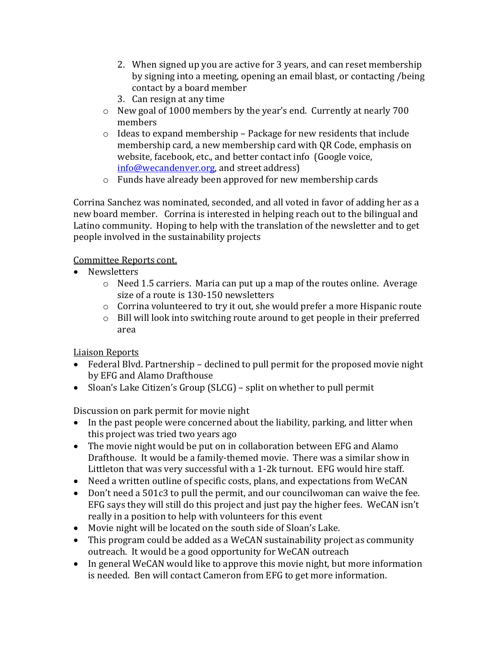- 2. When signed up you are active for 3 years, and can reset membership by signing into a meeting, opening an email blast, or contacting /being contact by a board member
- 3. Can resign at any time
- o New goal of 1000 members by the year's end. Currently at nearly 700 members
- $\circ$  Ideas to expand membership Package for new residents that include membership card, a new membership card with QR Code, emphasis on website, facebook, etc., and better contact info (Google voice, [info@wecandenver.org,](mailto:info@wecandenver.org) and street address)
- o Funds have already been approved for new membership cards

Corrina Sanchez was nominated, seconded, and all voted in favor of adding her as a new board member. Corrina is interested in helping reach out to the bilingual and Latino community. Hoping to help with the translation of the newsletter and to get people involved in the sustainability projects

Committee Reports cont.

- Newsletters
	- o Need 1.5 carriers. Maria can put up a map of the routes online. Average size of a route is 130-150 newsletters
	- o Corrina volunteered to try it out, she would prefer a more Hispanic route
	- o Bill will look into switching route around to get people in their preferred area

Liaison Reports

- Federal Blvd. Partnership declined to pull permit for the proposed movie night by EFG and Alamo Drafthouse
- Sloan's Lake Citizen's Group (SLCG) split on whether to pull permit

Discussion on park permit for movie night

- In the past people were concerned about the liability, parking, and litter when this project was tried two years ago
- The movie night would be put on in collaboration between EFG and Alamo Drafthouse. It would be a family-themed movie. There was a similar show in Littleton that was very successful with a 1-2k turnout. EFG would hire staff.
- Need a written outline of specific costs, plans, and expectations from WeCAN
- Don't need a 501c3 to pull the permit, and our councilwoman can waive the fee. EFG says they will still do this project and just pay the higher fees. WeCAN isn't really in a position to help with volunteers for this event
- Movie night will be located on the south side of Sloan's Lake.
- This program could be added as a WeCAN sustainability project as community outreach. It would be a good opportunity for WeCAN outreach
- In general WeCAN would like to approve this movie night, but more information is needed. Ben will contact Cameron from EFG to get more information.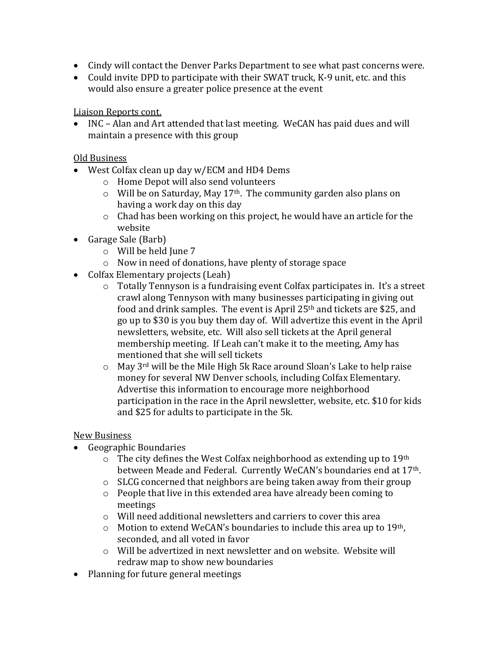- Cindy will contact the Denver Parks Department to see what past concerns were.
- Could invite DPD to participate with their SWAT truck, K-9 unit, etc. and this would also ensure a greater police presence at the event

Liaison Reports cont.

 INC – Alan and Art attended that last meeting. WeCAN has paid dues and will maintain a presence with this group

Old Business

- West Colfax clean up day w/ECM and HD4 Dems
	- o Home Depot will also send volunteers
	- o Will be on Saturday, May 17th. The community garden also plans on having a work day on this day
	- o Chad has been working on this project, he would have an article for the website
- Garage Sale (Barb)
	- o Will be held June 7
	- o Now in need of donations, have plenty of storage space
- Colfax Elementary projects (Leah)
	- o Totally Tennyson is a fundraising event Colfax participates in. It's a street crawl along Tennyson with many businesses participating in giving out food and drink samples. The event is April 25th and tickets are \$25, and go up to \$30 is you buy them day of. Will advertize this event in the April newsletters, website, etc. Will also sell tickets at the April general membership meeting. If Leah can't make it to the meeting, Amy has mentioned that she will sell tickets
	- $\circ$  May 3<sup>rd</sup> will be the Mile High 5k Race around Sloan's Lake to help raise money for several NW Denver schools, including Colfax Elementary. Advertise this information to encourage more neighborhood participation in the race in the April newsletter, website, etc. \$10 for kids and \$25 for adults to participate in the 5k.

New Business

- Geographic Boundaries
	- $\circ$  The city defines the West Colfax neighborhood as extending up to 19<sup>th</sup> between Meade and Federal. Currently WeCAN's boundaries end at 17<sup>th</sup>.
	- $\circ$  SLCG concerned that neighbors are being taken away from their group
	- o People that live in this extended area have already been coming to meetings
	- o Will need additional newsletters and carriers to cover this area
	- $\circ$  Motion to extend WeCAN's boundaries to include this area up to 19<sup>th</sup>, seconded, and all voted in favor
	- o Will be advertized in next newsletter and on website. Website will redraw map to show new boundaries
- Planning for future general meetings